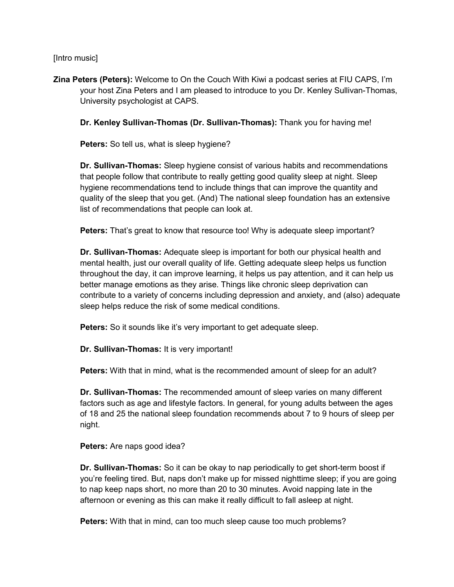[Intro music]

**Zina Peters (Peters):** Welcome to On the Couch With Kiwi a podcast series at FIU CAPS, I'm your host Zina Peters and I am pleased to introduce to you Dr. Kenley Sullivan-Thomas, University psychologist at CAPS.

**Dr. Kenley Sullivan-Thomas (Dr. Sullivan-Thomas):** Thank you for having me!

**Peters:** So tell us, what is sleep hygiene?

**Dr. Sullivan-Thomas:** Sleep hygiene consist of various habits and recommendations that people follow that contribute to really getting good quality sleep at night. Sleep hygiene recommendations tend to include things that can improve the quantity and quality of the sleep that you get. (And) The national sleep foundation has an extensive list of recommendations that people can look at.

**Peters:** That's great to know that resource too! Why is adequate sleep important?

**Dr. Sullivan-Thomas:** Adequate sleep is important for both our physical health and mental health, just our overall quality of life. Getting adequate sleep helps us function throughout the day, it can improve learning, it helps us pay attention, and it can help us better manage emotions as they arise. Things like chronic sleep deprivation can contribute to a variety of concerns including depression and anxiety, and (also) adequate sleep helps reduce the risk of some medical conditions.

**Peters:** So it sounds like it's very important to get adequate sleep.

**Dr. Sullivan-Thomas:** It is very important!

**Peters:** With that in mind, what is the recommended amount of sleep for an adult?

**Dr. Sullivan-Thomas:** The recommended amount of sleep varies on many different factors such as age and lifestyle factors. In general, for young adults between the ages of 18 and 25 the national sleep foundation recommends about 7 to 9 hours of sleep per night.

**Peters:** Are naps good idea?

**Dr. Sullivan-Thomas:** So it can be okay to nap periodically to get short-term boost if you're feeling tired. But, naps don't make up for missed nighttime sleep; if you are going to nap keep naps short, no more than 20 to 30 minutes. Avoid napping late in the afternoon or evening as this can make it really difficult to fall asleep at night.

**Peters:** With that in mind, can too much sleep cause too much problems?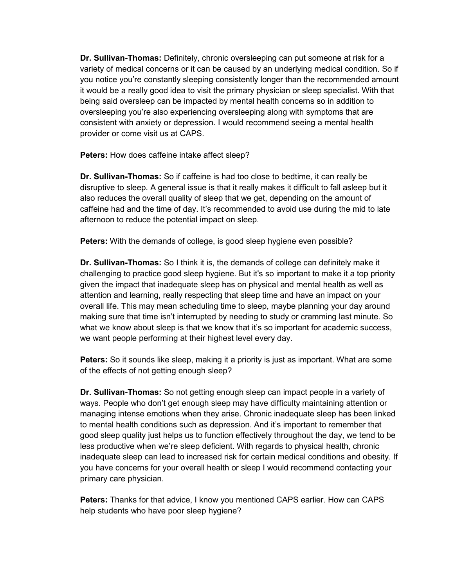**Dr. Sullivan-Thomas:** Definitely, chronic oversleeping can put someone at risk for a variety of medical concerns or it can be caused by an underlying medical condition. So if you notice you're constantly sleeping consistently longer than the recommended amount it would be a really good idea to visit the primary physician or sleep specialist. With that being said oversleep can be impacted by mental health concerns so in addition to oversleeping you're also experiencing oversleeping along with symptoms that are consistent with anxiety or depression. I would recommend seeing a mental health provider or come visit us at CAPS.

**Peters:** How does caffeine intake affect sleep?

**Dr. Sullivan-Thomas:** So if caffeine is had too close to bedtime, it can really be disruptive to sleep. A general issue is that it really makes it difficult to fall asleep but it also reduces the overall quality of sleep that we get, depending on the amount of caffeine had and the time of day. It's recommended to avoid use during the mid to late afternoon to reduce the potential impact on sleep.

**Peters:** With the demands of college, is good sleep hygiene even possible?

**Dr. Sullivan-Thomas:** So I think it is, the demands of college can definitely make it challenging to practice good sleep hygiene. But it's so important to make it a top priority given the impact that inadequate sleep has on physical and mental health as well as attention and learning, really respecting that sleep time and have an impact on your overall life. This may mean scheduling time to sleep, maybe planning your day around making sure that time isn't interrupted by needing to study or cramming last minute. So what we know about sleep is that we know that it's so important for academic success, we want people performing at their highest level every day.

**Peters:** So it sounds like sleep, making it a priority is just as important. What are some of the effects of not getting enough sleep?

**Dr. Sullivan-Thomas:** So not getting enough sleep can impact people in a variety of ways. People who don't get enough sleep may have difficulty maintaining attention or managing intense emotions when they arise. Chronic inadequate sleep has been linked to mental health conditions such as depression. And it's important to remember that good sleep quality just helps us to function effectively throughout the day, we tend to be less productive when we're sleep deficient. With regards to physical health, chronic inadequate sleep can lead to increased risk for certain medical conditions and obesity. If you have concerns for your overall health or sleep I would recommend contacting your primary care physician.

**Peters:** Thanks for that advice, I know you mentioned CAPS earlier. How can CAPS help students who have poor sleep hygiene?